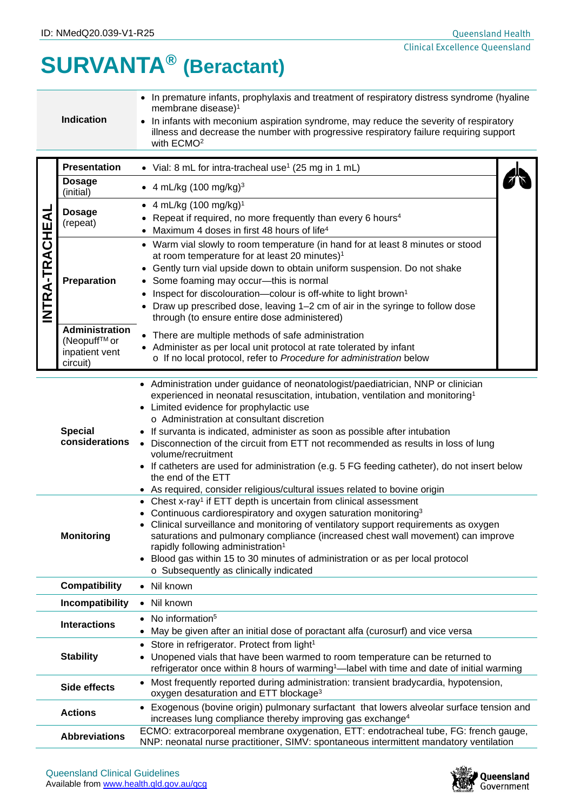## **SURVANTA® (Beractant)**

| <b>Indication</b> | • In premature infants, prophylaxis and treatment of respiratory distress syndrome (hyaline<br>membrane disease) <sup>1</sup><br>• In infants with meconium aspiration syndrome, may reduce the severity of respiratory<br>illness and decrease the number with progressive respiratory failure requiring support<br>with ECMO <sup>2</sup> |
|-------------------|---------------------------------------------------------------------------------------------------------------------------------------------------------------------------------------------------------------------------------------------------------------------------------------------------------------------------------------------|
|-------------------|---------------------------------------------------------------------------------------------------------------------------------------------------------------------------------------------------------------------------------------------------------------------------------------------------------------------------------------------|

|                | <b>Presentation</b>                                                                                                                                                                                                                                                                                                                                                                                                                                                                                                                   | • Vial: 8 mL for intra-tracheal use <sup>1</sup> (25 mg in 1 mL)                                                                                                                                                                                                                                                                                                                                                                                                                                                                                                                                                                                                      |  |  |  |
|----------------|---------------------------------------------------------------------------------------------------------------------------------------------------------------------------------------------------------------------------------------------------------------------------------------------------------------------------------------------------------------------------------------------------------------------------------------------------------------------------------------------------------------------------------------|-----------------------------------------------------------------------------------------------------------------------------------------------------------------------------------------------------------------------------------------------------------------------------------------------------------------------------------------------------------------------------------------------------------------------------------------------------------------------------------------------------------------------------------------------------------------------------------------------------------------------------------------------------------------------|--|--|--|
| INTRA-TRACHEAL | <b>Dosage</b><br>(initial)                                                                                                                                                                                                                                                                                                                                                                                                                                                                                                            | • 4 mL/kg $(100 \text{ mg/kg})^3$                                                                                                                                                                                                                                                                                                                                                                                                                                                                                                                                                                                                                                     |  |  |  |
|                | <b>Dosage</b><br>(repeat)                                                                                                                                                                                                                                                                                                                                                                                                                                                                                                             | • 4 mL/kg $(100 \text{ mg/kg})^1$<br>Repeat if required, no more frequently than every 6 hours <sup>4</sup><br>Maximum 4 doses in first 48 hours of life <sup>4</sup>                                                                                                                                                                                                                                                                                                                                                                                                                                                                                                 |  |  |  |
|                | Preparation                                                                                                                                                                                                                                                                                                                                                                                                                                                                                                                           | • Warm vial slowly to room temperature (in hand for at least 8 minutes or stood<br>at room temperature for at least 20 minutes) <sup>1</sup><br>Gently turn vial upside down to obtain uniform suspension. Do not shake<br>Some foaming may occur-this is normal<br>$\bullet$<br>Inspect for discolouration-colour is off-white to light brown <sup>1</sup><br>Draw up prescribed dose, leaving 1-2 cm of air in the syringe to follow dose<br>through (to ensure entire dose administered)                                                                                                                                                                           |  |  |  |
|                | <b>Administration</b><br>(Neopuff™ or<br>inpatient vent<br>circuit)                                                                                                                                                                                                                                                                                                                                                                                                                                                                   | • There are multiple methods of safe administration<br>• Administer as per local unit protocol at rate tolerated by infant<br>o If no local protocol, refer to Procedure for administration below                                                                                                                                                                                                                                                                                                                                                                                                                                                                     |  |  |  |
|                | <b>Special</b><br>considerations                                                                                                                                                                                                                                                                                                                                                                                                                                                                                                      | • Administration under guidance of neonatologist/paediatrician, NNP or clinician<br>experienced in neonatal resuscitation, intubation, ventilation and monitoring <sup>1</sup><br>• Limited evidence for prophylactic use<br>o Administration at consultant discretion<br>• If survanta is indicated, administer as soon as possible after intubation<br>• Disconnection of the circuit from ETT not recommended as results in loss of lung<br>volume/recruitment<br>• If catheters are used for administration (e.g. 5 FG feeding catheter), do not insert below<br>the end of the ETT<br>• As required, consider religious/cultural issues related to bovine origin |  |  |  |
|                | • Chest x-ray <sup>1</sup> if ETT depth is uncertain from clinical assessment<br>Continuous cardiorespiratory and oxygen saturation monitoring <sup>3</sup><br>Clinical surveillance and monitoring of ventilatory support requirements as oxygen<br>saturations and pulmonary compliance (increased chest wall movement) can improve<br><b>Monitoring</b><br>rapidly following administration <sup>1</sup><br>Blood gas within 15 to 30 minutes of administration or as per local protocol<br>o Subsequently as clinically indicated |                                                                                                                                                                                                                                                                                                                                                                                                                                                                                                                                                                                                                                                                       |  |  |  |
|                | <b>Compatibility</b>                                                                                                                                                                                                                                                                                                                                                                                                                                                                                                                  | • Nil known                                                                                                                                                                                                                                                                                                                                                                                                                                                                                                                                                                                                                                                           |  |  |  |
|                | Incompatibility                                                                                                                                                                                                                                                                                                                                                                                                                                                                                                                       | • Nil known                                                                                                                                                                                                                                                                                                                                                                                                                                                                                                                                                                                                                                                           |  |  |  |
|                | <b>Interactions</b>                                                                                                                                                                                                                                                                                                                                                                                                                                                                                                                   | No information <sup>5</sup><br>May be given after an initial dose of poractant alfa (curosurf) and vice versa                                                                                                                                                                                                                                                                                                                                                                                                                                                                                                                                                         |  |  |  |
|                | <b>Stability</b>                                                                                                                                                                                                                                                                                                                                                                                                                                                                                                                      | Store in refrigerator. Protect from light <sup>1</sup><br>$\bullet$<br>Unopened vials that have been warmed to room temperature can be returned to<br>$\bullet$<br>refrigerator once within 8 hours of warming <sup>1</sup> -label with time and date of initial warming                                                                                                                                                                                                                                                                                                                                                                                              |  |  |  |
|                | Side effects                                                                                                                                                                                                                                                                                                                                                                                                                                                                                                                          | Most frequently reported during administration: transient bradycardia, hypotension,<br>oxygen desaturation and ETT blockage <sup>3</sup>                                                                                                                                                                                                                                                                                                                                                                                                                                                                                                                              |  |  |  |
|                | <b>Actions</b>                                                                                                                                                                                                                                                                                                                                                                                                                                                                                                                        | • Exogenous (bovine origin) pulmonary surfactant that lowers alveolar surface tension and<br>increases lung compliance thereby improving gas exchange <sup>4</sup>                                                                                                                                                                                                                                                                                                                                                                                                                                                                                                    |  |  |  |
|                | <b>Abbreviations</b>                                                                                                                                                                                                                                                                                                                                                                                                                                                                                                                  | ECMO: extracorporeal membrane oxygenation, ETT: endotracheal tube, FG: french gauge,<br>NNP: neonatal nurse practitioner, SIMV: spontaneous intermittent mandatory ventilation                                                                                                                                                                                                                                                                                                                                                                                                                                                                                        |  |  |  |